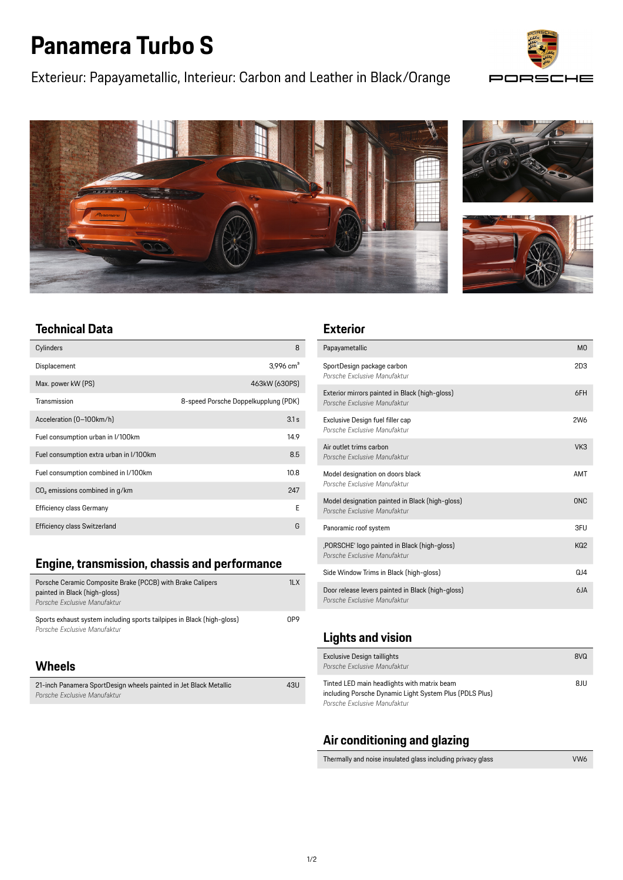# **Panamera Turbo S**

Exterieur: Papayametallic, Interieur: Carbon and Leather in Black/Orange









# **Technical Data**

| Cylinders                                  | 8                                    |
|--------------------------------------------|--------------------------------------|
| Displacement                               | $3,996$ cm <sup>3</sup>              |
| Max. power kW (PS)                         | 463kW (630PS)                        |
| Transmission                               | 8-speed Porsche Doppelkupplung (PDK) |
| Acceleration (0-100km/h)                   | 3.1 s                                |
| Fuel consumption urban in I/100km          | 14.9                                 |
| Fuel consumption extra urban in I/100km    | 8.5                                  |
| Fuel consumption combined in I/100km       | 10.8                                 |
| CO <sub>2</sub> emissions combined in q/km | 247                                  |
| <b>Efficiency class Germany</b>            | F                                    |
| <b>Efficiency class Switzerland</b>        | G                                    |

## **Engine, transmission, chassis and performance**

| Porsche Ceramic Composite Brake (PCCB) with Brake Calipers<br>painted in Black (high-gloss)<br>Porsche Exclusive Manufaktur | 1LX |
|-----------------------------------------------------------------------------------------------------------------------------|-----|
| Sports exhaust system including sports tailpipes in Black (high-gloss)<br>Porsche Exclusive Manufaktur                      | NP9 |

#### **Wheels**

| 21-inch Panamera SportDesign wheels painted in Jet Black Metallic | 43U |
|-------------------------------------------------------------------|-----|
| Porsche Exclusive Manufaktur                                      |     |

#### **Exterior**

| Papayametallic                                                                    | M <sub>0</sub>  |
|-----------------------------------------------------------------------------------|-----------------|
| SportDesign package carbon<br>Porsche Exclusive Manufaktur                        | 2D3             |
| Exterior mirrors painted in Black (high-gloss)<br>Porsche Exclusive Manufaktur    | 6FH             |
| Exclusive Design fuel filler cap<br>Porsche Exclusive Manufaktur                  | 2W <sub>6</sub> |
| Air outlet trims carbon<br>Porsche Exclusive Manufaktur                           | VK3             |
| Model designation on doors black<br>Porsche Exclusive Manufaktur                  | <b>AMT</b>      |
| Model designation painted in Black (high-gloss)<br>Porsche Exclusive Manufaktur   | ON <sub>C</sub> |
| Panoramic roof system                                                             | 3FU             |
| , PORSCHE' logo painted in Black (high-gloss)<br>Porsche Exclusive Manufaktur     | KQ <sub>2</sub> |
| Side Window Trims in Black (high-gloss)                                           | QJ4             |
| Door release levers painted in Black (high-gloss)<br>Porsche Exclusive Manufaktur | $6I$ A          |

### **Lights and vision**

| <b>Exclusive Design taillights</b><br>Porsche Exclusive Manufaktur                                     | 8VQ |
|--------------------------------------------------------------------------------------------------------|-----|
| Tinted LED main headlights with matrix beam<br>including Porsche Dynamic Light System Plus (PDLS Plus) | 8JU |
| Porsche Exclusive Manufaktur                                                                           |     |

## **Air conditioning and glazing**

| Thermally and noise insulated glass including privacy glass | VW <sub>6</sub> |
|-------------------------------------------------------------|-----------------|
|                                                             |                 |